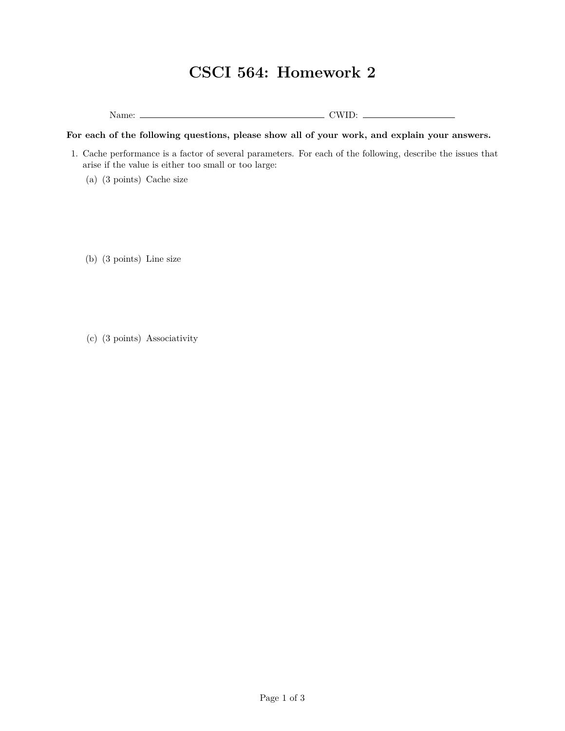## **CSCI 564: Homework 2**

Name: CWID:

## **For each of the following questions, please show all of your work, and explain your answers.**

- 1. Cache performance is a factor of several parameters. For each of the following, describe the issues that arise if the value is either too small or too large:
	- (a) (3 points) Cache size
	- (b) (3 points) Line size
	- (c) (3 points) Associativity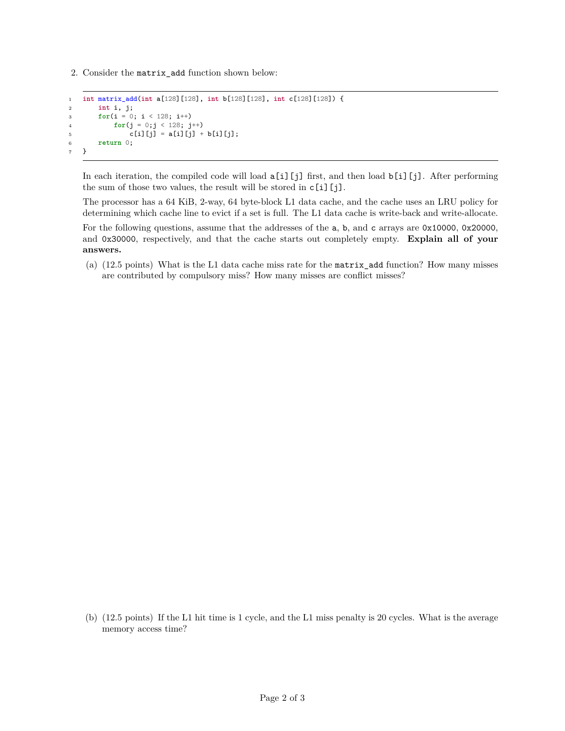2. Consider the matrix\_add function shown below:

```
1 int matrix_add(int a[128][128], int b[128][128], int c[128][128]) {
2 int i, j;
3 for(i = 0; i < 128; i++)
4 for(j = 0;j < 128; j++)
5 c[i][j] = a[i][j] + b[i][j];
6 return 0;
7 }
```
In each iteration, the compiled code will load a[i][j] first, and then load b[i][j]. After performing the sum of those two values, the result will be stored in c[i][j].

The processor has a 64 KiB, 2-way, 64 byte-block L1 data cache, and the cache uses an LRU policy for determining which cache line to evict if a set is full. The L1 data cache is write-back and write-allocate.

For the following questions, assume that the addresses of the a, b, and c arrays are 0x10000, 0x20000, and 0x30000, respectively, and that the cache starts out completely empty. **Explain all of your answers.**

(a) (12.5 points) What is the L1 data cache miss rate for the matrix\_add function? How many misses are contributed by compulsory miss? How many misses are conflict misses?

(b) (12.5 points) If the L1 hit time is 1 cycle, and the L1 miss penalty is 20 cycles. What is the average memory access time?